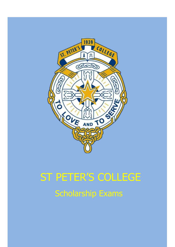

# Scholarship Exams ST PETER'S COLLEGE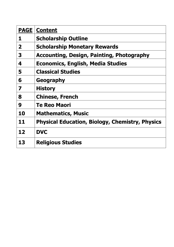| <b>PAGE</b> | <b>Content</b>                                         |
|-------------|--------------------------------------------------------|
| 1           | <b>Scholarship Outline</b>                             |
| $\mathbf 2$ | <b>Scholarship Monetary Rewards</b>                    |
| 3           | <b>Accounting, Design, Painting, Photography</b>       |
| 4           | <b>Economics, English, Media Studies</b>               |
| 5           | <b>Classical Studies</b>                               |
| 6           | Geography                                              |
| 7           | <b>History</b>                                         |
| 8           | <b>Chinese, French</b>                                 |
| 9           | <b>Te Reo Maori</b>                                    |
| 10          | <b>Mathematics, Music</b>                              |
| 11          | <b>Physical Education, Biology, Chemistry, Physics</b> |
| 12          | <b>DVC</b>                                             |
| 13          | <b>Religious Studies</b>                               |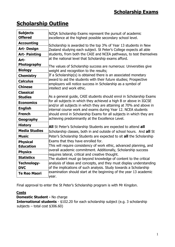# **Scholarship Outline**

| <b>Subjects</b><br><b>Offered</b> | NZQA Scholarship Exams represent the pursuit of academic<br>excellence at the highest possible secondary school level.                                                                                      |  |  |
|-----------------------------------|-------------------------------------------------------------------------------------------------------------------------------------------------------------------------------------------------------------|--|--|
| <b>Accounting</b>                 | Scholarship is awarded to the top 3% of Year 13 students in New                                                                                                                                             |  |  |
| <b>Art-Design</b>                 | Zealand studying each subject. St Peter's College expects all able                                                                                                                                          |  |  |
| <b>Art-Painting</b>               | students, from both the CAIE and NCEA pathways, to test themselves                                                                                                                                          |  |  |
| Art-                              | at the national level that Scholarship exams afford.                                                                                                                                                        |  |  |
| Photography                       | The values of Scholarship success are numerous: Universities give                                                                                                                                           |  |  |
| <b>Biology</b>                    | weight and recognition to the results;                                                                                                                                                                      |  |  |
| <b>Chemistry</b>                  | If a Scholarship(s) is obtained there is an associated monetary                                                                                                                                             |  |  |
| <b>Calculus</b>                   | award to aid the students with their future studies; Prospective                                                                                                                                            |  |  |
| <b>Chinese</b>                    | employers will notice success in Scholarship as a symbol of<br>intellect and work ethic.                                                                                                                    |  |  |
| <b>Classical</b>                  |                                                                                                                                                                                                             |  |  |
| <b>Studies</b>                    | As a general guide, CAIE students should enrol in Scholarship Exams                                                                                                                                         |  |  |
| <b>Economics</b>                  | for all subjects in which they achieved a high B or above in IGCSE                                                                                                                                          |  |  |
| <b>English</b>                    | and/or all subjects in which they are attaining at 70% and above in<br>internal course work and exams during Year 12. NCEA students<br>should enrol in Scholarship Exams for all subjects in which they are |  |  |
| <b>French</b>                     |                                                                                                                                                                                                             |  |  |
| Geography                         | achieving predominantly at the Excellence Level.                                                                                                                                                            |  |  |
| <b>History</b>                    | <b>All</b> St Peter's Scholarship Students are expected to attend all                                                                                                                                       |  |  |
| <b>Media Studies</b>              | Scholarship classes, both in and outside of school hours. And all St                                                                                                                                        |  |  |
| <b>Music</b>                      | Peter's Scholarship Students are expected to sit all the Scholarship                                                                                                                                        |  |  |
| <b>Physical</b>                   | Exams that they have enrolled for.                                                                                                                                                                          |  |  |
| <b>Education</b>                  | This will require consistency of work ethic, advanced planning, and                                                                                                                                         |  |  |
| <b>Physics</b>                    | overall academic commitment. Additionally, Scholarship success<br>requires lateral, critical and creative thought.                                                                                          |  |  |
| <b>Statistics</b>                 | The student must go beyond knowledge of content to the critical                                                                                                                                             |  |  |
| Technology-                       | analysis of ideas and concepts, and they must display understanding                                                                                                                                         |  |  |
| <b>DVC</b>                        | of the implications of such analysis. Study towards a Scholarship                                                                                                                                           |  |  |
| <b>Te Reo Maori</b>               | examination should start at the beginning of the year 13 academic                                                                                                                                           |  |  |
|                                   | year.                                                                                                                                                                                                       |  |  |

Final approval to enter the St Peter's Scholarship program is with Mr Kingdon.

# **Costs**

**Domestic Student -** No charge

**International students** - \$102.20 for each scholarship subject (e.g. 3 scholarship subjects – total cost \$306.60)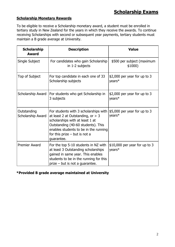# **Scholarship Monetary Rewards**

To be eligible to receive a Scholarship monetary award, a student must be enrolled in tertiary study in New Zealand for the years in which they receive the awards. To continue receiving Scholarships with second or subsequent year payments, tertiary students must maintain a B grade average at University.

| <b>Scholarship</b><br><b>Award</b> | <b>Description</b>                                                                                                                                                                                                                              | <b>Value</b>                             |
|------------------------------------|-------------------------------------------------------------------------------------------------------------------------------------------------------------------------------------------------------------------------------------------------|------------------------------------------|
| Single Subject                     | For candidates who gain Scholarship<br>in 1-2 subjects                                                                                                                                                                                          | \$500 per subject (maximum<br>\$1000)    |
| Top of Subject                     | For top candidate in each one of 33<br>Scholarship subjects                                                                                                                                                                                     | $$2,000$ per year for up to 3<br>years*  |
| Scholarship Award                  | For students who get Scholarship in<br>3 subjects                                                                                                                                                                                               | \$2,000 per year for up to 3<br>years*   |
| Outstanding<br>Scholarship Award   | For students with 3 scholarships with<br>at least 2 at Outstanding, or $>$ 3<br>scholarships with at least 1 at<br>Outstanding (40-60 students). This<br>enables students to be in the running<br>for this prize $-$ but is not a<br>guarantee. | $$5,000$ per year for up to 3<br>years*  |
| <b>Premier Award</b>               | For the top 5-10 students in NZ with<br>at least 3 Outstanding scholarships<br>gained in same year. This enables<br>students to be in the running for this<br>$prize$ – but is not a guarantee.                                                 | $$10,000$ per year for up to 3<br>years* |

**\*Provided B grade average maintained at University**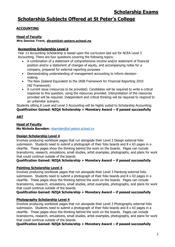# **Scholarship Subjects Offered at St Peter's College**

# **ACCOUNTING**

# **Head of Faculty**

#### **Mrs Denise Trent, [dtrent@st-peters.school.nz](mailto:dtrent@st-peters.school.nz)**

#### **Accounting Scholarship Level 4**

Year 13 Accounting Scholarship is based upon the curriculum laid out for NCEA Level 3 Accounting. There are four questions covering the following topics:

- A combination of a statement of comprehensive income and/or statement of financial position and/or a statement of changes of equity, and accompanying notes for a company, prepared for external reporting purposes
- Demonstrating understanding of management accounting to inform decisionmaking
- The New Zealand Equivalent to the IASB Framework for Financial Reporting 2010 (NZ Framework)
- A current issue (resources to be provided). Candidates will be required to write a critical response to this question, using the resources provided. Interpretation of the resources provided will be required. Independent and critical thinking will be required to respond to an unfamiliar scenario.

Students sitting A Level and Level 3 Accounting will be highly suited to Scholarship Accounting. **Qualification Gained: NZQA Scholarship + Monetary Award – if passed successfully**

# **ART**

# **Head of Faculty**

**Ms Nichola Barnden:** [nbarnden@st-peters.school.nz](file:///C:/Users/mmullin/AppData/Local/Microsoft/Windows/Temporary%20Internet%20Files/Content.Outlook/8KLE42QW/nbarnden@st-peters.school.nz)

# **Design Scholarship Level 4**

Involves producing workbook pages that run alongside their Level 3 Design external folio submission. Students need to submit a photograph of their folio boards and 8 x A3 pages in a clearfile. These pages show the thinking behind the work on the boards. Pages can include brainstorms, research, emulations, small studies, artist examples, photographs, and plans for work that could continue outside of the boards.

# **Qualification Gained: NZQA Scholarship + Monetary Award – if passed successfully**

# **Painting Scholarship Level 4**

Involves producing workbook pages that run alongside their Level 3 Paintong external folio submission. Students need to submit a photograph of their folio boards and  $8 \times A3$  pages in a clearfile. These pages show the thinking behind the work on the boards. Pages can include brainstorms, research, emulations, small studies, artist examples, photographs, and plans for work that could continue outside of the boards.

# **Qualification Gained: NZQA Scholarship + Monetary Award – if passed successfully**

# **Photography Scholarship Level 4**

Involves producing workbook pages that run alongside their Level 3 Photography external folio submission. Students need to submit a photograph of their folio boards and 8 x A3 pages in a clearfile. These pages show the thinking behind the work on the boards. Pages can include brainstorms, research, emulations, small studies, artist examples, photographs, and plans for work that could continue outside of the boards.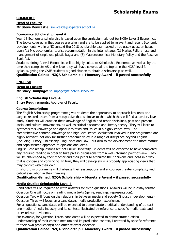# **COMMERCE**

#### **Head of Faculty**

**Mr Steve Rewcastle:** [srewcastle@st-peters.school.nz](file:///C:/Users/mmullin/AppData/Local/Microsoft/Windows/Temporary%20Internet%20Files/Content.Outlook/8KLE42QW/srewcastle@st-peters.school.nz)

## **Economics Scholarship Level 4**

Year 13 Economics scholarship is based upon the curriculum laid out for NCEA Level 3 Economics. The topics covered in that course are taken and are to be applied to relevant and recent Economic developments within a NZ context the 2018 scholarship exam asked three essay question based upon (1) Microeconomics: tourist accommodation in the internet age; (2) Market Failure: use and management of single use plastic bags; and (3) Macroeconomics: Monetary Policy and the Reserve Bank Act.

Students sitting A level Economics will be highly suited to Scholarship Economics as well as by the time they complete AS and A level they will have covered all the topics in the NCEA level 3 syllabus, giving the CAIE students a good chance to obtain a scholarship as well.

#### **Qualification Gained: NZQA Scholarship + Monetary Award – if passed successfully**

## **ENGLISH**

**Head of Faculty Mr Stacy Humpage:** [shumpage@st-peters.school.nz](file:///C:/Users/mmullin/AppData/Local/Microsoft/Windows/Temporary%20Internet%20Files/Content.Outlook/8KLE42QW/shumpage@st-peters.school.nz)

#### **English Scholarship Level 4**

**Entry Requirements:** Approval of Faculty

#### **Course Description:**

The English Scholarship programme gives students the opportunity to approach key texts and subject-related issues from a perspective that is similar to that which they will find at tertiary level study. Students will draw on their knowledge of English and other disciplines, past and present social and cultural movements, as well as critical discourse and literary theory. They will learn to synthesis this knowledge and apply it to texts and issues in a highly critical way. The comprehensive content knowledge and high-level critical evaluation involved in the programme are highly relevant, not only for further academic study in a range of disciplines beyond English (including History, Philosophy, Linguistics and Law), but also to the development of a more mature and sophisticated approach to opinions and ideas.

English Scholarship lessons are not unlike University. Students will be expected to have completed any required reading in order to take part in discussions from a well-informed point-of-view. They will be challenged by their teacher and their peers to articulate their opinions and ideas in a way that is concise and convincing. In turn, they will develop skills is properly appreciating views that may conflict with their own.

In short, this programme will challenge their assumptions and encourage greater complexity and critical evaluation in their thinking.

#### **Qualification Gained: NZQA Scholarship + Monetary Award – if passed successfully**

#### **Media Studies Scholarship Level 4**

Candidates will be required to write answers for three questions. Answers will be in essay format. Question One will focus on reading media texts (genre, readings, representation).

Question Two will focus on the relationship between media and society (industry, developments). Question Three will focus on a candidate's media production experience.

For all questions, candidates will be expected to demonstrate a critical understanding of at least one medium/media industry and its context, illustrated by reference to specific media texts and other relevant evidence.

For example, for Question Three, candidates will be expected to demonstrate a critical understanding of their chosen medium and its production context, illustrated by specific reference to their own production(s) and other relevant evidence.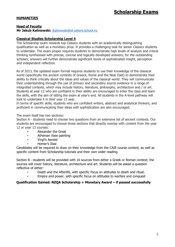# **HUMANITIES**

#### **Head of Faculty**

**Mr Jakub Kalinowski:** [jkalinowski@st-peters.school.nz](file:///C:/Users/mmullin/AppData/Local/Microsoft/Windows/Temporary%20Internet%20Files/Content.Outlook/8KLE42QW/jkalinowski@st-peters.school.nz)

#### **Classical Studies Scholarship Level 4**

The Scholarship exam rewards top Classics students with an academically distinguishing qualification as well as a monetary prize. It provides a challenging task for senior Classics students to undertake. The exam proper requires students to demonstrate high levels of analysis and critical thinking synthesised with precise, concise and logically developed answers; for the outstanding scholars, answers will further demonstrate significant levels of sophisticated insight, perception and independent reflection.

As of 2013, the updated exam format requires students to use their knowledge of the classical world (specifically the ancient contexts of Greece, Rome and the Near East) to demonstrate their ability to think critically about the ideas and values of the classical world. They will communicate their understanding through the use of primary and secondary source evidence in a range of integrated contexts, which may include history, literature, philosophy, architecture and / or art. Students at year 12 who are confident in their ability are encouraged to enter the class and learn the skills, with the aim of sitting the exam at year's end. All students in the A-level pathway will look to undertake it in their year 13 year.

In terms of specific skills, students who are confident writers, abstract and analytical thinkers, and proficient in communicating their ideas with sophistication are also encouraged.

The exam itself has two sections:

Section A - students need to choose two questions from an extensive list of ancient contexts. Our students are encouraged to choose those sections that directly overlap with content from the year 12 or year 13 courses:

- Alexander the Great
- Athenian Vase painting
- Virgil's Aeneid
- Homer's Iliad

Candidates will be required to draw on their knowledge from the CAIE course content, as well as specific content from Scholarship tutorials and their own wider reading.

Section B - students will be provided with 16 sources from either a Greek or Roman context; the sources will cover history, literature, architecture and art. Students will be asked a question reflective of either:

- Death and the Afterlife, with specific focus on attitudes to death and ritual;
- Empire and power, with specific focus on attitudes to warfare and conquest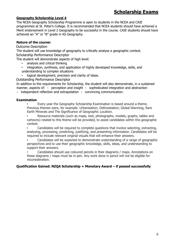# **Scholarship Exams**

#### **Geography Scholarship Level 4**

The NCEA Geography Scholarship Programme is open to students in the NCEA and CAIE programmes at St. Peter's College. It is recommended that NCEA students should have achieved a Merit endorsement in Level 2 Geography to be successful in the course. CAIE students should have achieved an "A" or "B" grade in AS Geography.

# **Nature of the course:**

Outcome Description

The student will use knowledge of geography to critically analyse a geographic context. Scholarship Performance Descriptor

The student will demonstrate aspects of high level:

- analysis and critical thinking
- integration, synthesis, and application of highly developed knowledge, skills, and understanding to complex situations
- logical development, precision and clarity of ideas.

Outstanding Performance Descriptor

In addition to the requirements for Scholarship, the student will also demonstrate, in a sustained manner, aspects of: perception and insight sophisticated integration and abstraction

independent reflection and extrapolation convincing communication.

#### **Examination**

• Every year the Geography Scholarship Examination is based around a theme. Previous themes were, for example: Urbanisation; Deforestation; Global Warming, Rare Earth Minerals and The Significance of Geographic Location.

• Resource materials (such as maps, text, photographs, models, graphs, tables and cartoons) related to this theme will be provided, to assist candidates within this geographic context.

• Candidates will be required to complete questions that involve selecting, extracting, analysing, processing, predicting, justifying, and presenting information. Candidates will be required to include relevant original visuals that will enhance their answers.

• Candidates will be expected to demonstrate understanding of a range of geographic perspectives and to use their geographic knowledge, skills, ideas, and understanding to support their answers.

• Candidates should use coloured pencils in their diagrams / maps. Annotations on these diagrams / maps must be in pen. Any work done in pencil will not be eligible for reconsideration.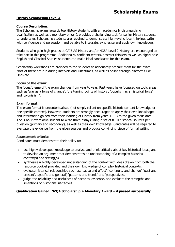#### **History Scholarship Level 4**

#### **Course Description**:

The Scholarship exam rewards top History students with an academically distinguishing qualification as well as a monetary prize. It provides a challenging task for senior History students to undertake. Scholarship students are required to demonstrate high-level critical thinking, write with confidence and persuasion, and be able to integrate, synthesise and apply own knowledge.

Students who gain high grades at CAIE AS History and/or NCEA Level 2 History are encouraged to take part in this programme. Additionally, confident writers, abstract thinkers as well as highly able English and Classical Studies students can make ideal candidates for this exam.

Scholarship workshops are provided to the students to adequately prepare them for the exam. Most of these are run during intervals and lunchtimes, as well as online through platforms like OneNote.

#### **Focus of the exam**:

The focus/theme of the exam changes from year to year. Past years have focussed on topic areas such as 'war as a force of change', 'the turning points of history', 'populism as a historical force' and 'colonialism'.

#### **Exam format**:

The exam format is decontextualised (not simply reliant on specific historic content knowledge or one specific context). However, students are strongly encouraged to apply their own knowledge and information gained from their learning of History from years 11-13 to the given focus area. The 3-hour exam asks student to write three essays using a set of 8-10 historical sources per question (primary and secondary), as well as their own knowledge. Candidates will be required to evaluate the evidence from the given sources and produce convincing piece of formal writing.

#### **Assessment criteria:**

Candidates must demonstrate their ability to:

- use highly developed knowledge to analyse and think critically about key historical ideas, and to develop an argument that demonstrates an understanding of a complex historical context(s) and setting(s).
- synthesise a highly-developed understanding of the context with ideas drawn from both the resource booklet provided and their own knowledge of complex historical contexts.
- evaluate historical relationships such as: 'cause and effect', 'continuity and change', 'past and present', 'specific and general', 'patterns and trends' and 'perspectives'.
- judge the reliability and usefulness of historical evidence, and evaluate the strengths and limitations of historians' narratives.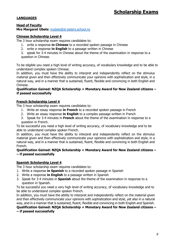# **LANGUAGES**

#### **Head of Faculty Mrs Margaret Ubels:** [mubels@st-peters.school.nz](file:///C:/Users/mmullin/AppData/Local/Microsoft/Windows/Temporary%20Internet%20Files/Content.Outlook/8KLE42QW/mubels@st-peters.school.nz)

#### **Chinese Scholarship Level 4**

The 3 hour scholarship exam requires candidates to:

- 1. write a response **in Chinese** to a recorded spoken passage in Chinese
- 2. write a response **in English** to a passage written in Chinese
- 3. speak for 3-4 minutes in Chinese about the theme of the examination in response to a question in Chinese.

To be eligible you need a high level of writing accuracy, of vocabulary knowledge and to be able to understand complex spoken Chinese.

In addition, you must have the ability to interpret and independently reflect on the stimulus material given and then effectively communicate your opinions with sophistication and style, in a natural way, and in a manner that is sustained, fluent, flexible and convincing in both English and Chinese.

#### **Qualification Gained: NZQA Scholarship + Monetary Award for New Zealand citizens – if passed successfully**

#### **French Scholarship Level 4**

The 3 hour scholarship exam requires candidates to:

- 1. Write an essay response **in French** to a recorded spoken passage in French
- 2. Write an essay response **in English** to a complex passage written in French
- 3. Speak for 3-4 minutes in **French** about the theme of the examination in response to a question in French.

To be successful you need a high level of writing accuracy, of vocabulary knowledge and to be able to understand complex spoken French.

In addition, you must have the ability to interpret and independently reflect on the stimulus material given and then effectively communicate your opinions with sophistication and style, in a natural way, and in a manner that is sustained, fluent, flexible and convincing in both English and French.

**Qualification Gained: NZQA Scholarship + Monetary Award for New Zealand citizens – – if passed successfully**

#### **Spanish Scholarship Level 4**

The 3 hour scholarship exam requires candidates to:

- 1. Write a response **in Spanish** to a recorded spoken passage in Spanish
- 2. Write a response **in English** to a passage written in Spanish
- 3. Speak for 3-4 minutes in **Spanish** about the theme of the examination in response to a question in Spanish.

To be successful you need a very high level of writing accuracy, of vocabulary knowledge and to be able to understand complex spoken French.

In addition, you must have the ability to interpret and independently reflect on the material given and then effectively communicate your opinions with sophistication and style, yet also in a natural way, and in a manner that is sustained, fluent, flexible and convincing in both English and Spanish.

#### **Qualification Gained: NZQA Scholarship + Monetary Award for New Zealand citizens – – if passed successfully**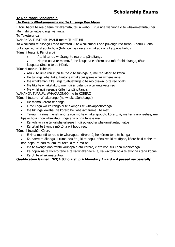# **Te Reo Māori Scholarship**

# **He Kōrero Whakamārama mō Te Hiranga Reo Māori**

E toru haora te roa o tēnei whakamātautau ā waho. E rua ngā wāhanga o te whakamātautau nei. Me mahi te katoa o ngā wāhanga.

Te Takotoranga

WĀHANGA TUATAHI: PĀNUI me te TUHITUHI

Ka whakaatu te ākonga i tōna matatau ki te whakamahi i ōna pūkenga reo torohū (pānui) i ōna pūkenga reo whakaputa hoki (tuhinga roa) kia āta whakaō i ngā kaupapa huhua. Tūmahi tuatahi: Pānui aroā

- Atu ki te rua whārangi te roa o te pānuitanga
- He reo uaua te momo, ā, he kaupapa e kōrero ana mō tētahi tikanga, tētahi

kaupapa rānei o te ao Māori.

Tūmahi tuarua: Tuhituhi

- Atu ki te rima rau kupu te roa o te tuhinga, ā, me reo Māori te katoa
- He tuhinga whai take, tautohe whakapakepake whakawhere rānei
- Me whakamahi tika i ngā tūāhuatanga o te reo ōkawa, o te reo ōpaki
- Me tika te whakatakoto me ngā āhuatanga o te wetewete reo
- Me whiri ngā rerenga ōrite i te pānuitanga.

WĀHANGA TUARUA: WHAKARONGO me te KŌRERO

Tūmahi tuatoru: Whakarongo (he whakapāohotanga)

- He momo kōrero te hanga
- E toru ngā wā ka rongo ai te ākonga i te whakapāohotanga
- Me tiki ngā kīwaha i te kōrero hei whakamārama i te matū
- Tekau mā rima meneti anō te roa mō te whakarāpopoto kōrero, ā, me kaha arohaehae, me tīpako hoki i ngā whakatau, i ngā ariā o ngā taha e rua
- Ka kohikohia e te kaiwhakahaere i ngā pukapuka whakamātautau katoa
- Ka tatari te ākonga mō tōna wā hopu reo.

Tūmahi tuawhā: Kōrero

- E rima meneti te roa o te whakaputa kōrero, ā, he kōrero tene te hanga
- Ka haere te ākonga ki ruma noa ātu, ki te hopu i tōna reo ki te kōpae, kāore hoki e ahei te hari pepa, te hari rauemi tautoko ki te rūma nei
- Mā te ākonga anō tētahi kaupapa e āta kōrero, e āta kōtuitui i ōna mōhiotanga
- Ka hopukina te kōrero tene e te kaiwhakahaere, ā, ka waitohu hoki te ākonga i tana kōpae
- Ka oti te whakamātautau.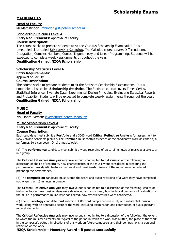# **MATHEMATICS**

#### **Head of Faculty**

Mr Matt Bindon: [mbindon@st-peters.school.nz](mailto:mbindon@st-peters.school.nz)

#### **Scholarship Calculus Level 4**

**Entry Requirements:** Approval of Faculty

#### **Course Description:**

The course seeks to prepare students to sit the Calculus Scholarship Examination. It is a timetabled class called **Scholarship Calculus**. The Calculus course covers Differentiation, Integration, Complex Numbers, Conics, Trigonometry and Linear Programming. Students will be expected to complete weekly assignments throughout the year.

# **Qualification Gained: NZQA Scholarship**

#### **Scholarship Statistics Level 4**

**Entry Requirements:**

Approval of Faculty

#### **Course Description:**

The course seeks to prepare students to sit the Statistics Scholarship Examinations. It is a timetabled class called **Scholarship Statistics**. The Statistics course covers Times Series, Statistical Inference, Bivariate Data, Experimental Design Principles, Evaluating Statistical Reports and Probability. Students will be expected to complete weekly assignments throughout the year. **Qualification Gained: NZQA Scholarship**

#### **MUSIC**

**Head of Faculty**

Ms Elinora Iversen: [eiversen@st-peters.school.nz](mailto:eiversen@st-peters.school.nz)

#### **Music Scholarship Level 4**

**Entry Requirements:** Approval of Faculty

#### **Course Description:**

Each candidate must submit a **Portfolio** and a 3000 word **Critical Reflective Analysis** for assessment for New Zealand Scholarship Music. The **Portfolio** must contain evidence of the candidate's work as either a) a performer, b) a composer, Or c) a musicologist.

(a) The **performance** candidate must submit a video recording of up to 15 minutes of music as a soloist or in a group.

The **Critical Reflective Analysis** may involve but is not limited to a discussion of the following: a discussion of choice of repertoire, how characteristics of the music were considered in preparing the performance, how stylistic features, technical and musicianship issues of the music were considered in preparing the performance.

(b) The **composition** candidate must submit the score and audio recording of a work they have composed not longer than 15 minutes in duration.

The **Critical Reflective Analysis** may involve but is not limited to a discussion of the following: choice of instrumentation, how musical ideas were developed and structured, how technical demands of realisation of the music in performance music were considered, how stylistic features were considered.

(c) The **musicology** candidate must submit a 3000 word comprehensive study of a substantial musical work, along with an annotated score of the work, including examination and contribution of five significant musical elements

The **Critical Reflective Analysis** may involve but is not limited to a discussion of the following: the extent to which the musical elements are typical of the period in which the work was written, the place of the work in the composer's output, implications of this work on future composers and their compositions, a personal reflection of the work.

**NZQA Scholarship + Monetary Award – if passed successfully**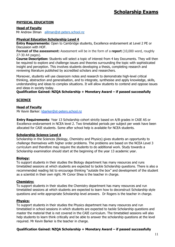# **PHYSICAL EDUCATION**

#### **Head of Faculty**

Mr Andrew Illman [aillman@st-peters.school.nz](mailto:aillman@st-peters.school.nz)

#### **Physical Education Scholarship Level 4**

**Entry Requirements:** Open to Cambridge students, Excellence endorsement at Level 2 PE or Discussion with HOF.

**Format of the assessment:** Assessment will be in the form of a **report** (10,000 word, roughly 27-30 A4 pages).

**Course Description:** Students will select a topic of interest from 4 key Documents. They will then be required to explore and challenge issues and theories surrounding the topic with sophisticated insight and perception. This involves students developing a thesis, completing research and reviewing literature published by accredited scholars and researchers.

Moreover, students will use classroom notes and research to demonstrate high-level critical thinking, abstraction and generalisation, and to integrate, synthesise and apply knowledge, skills, understanding and ideas to complex situations. It will allow students to contend and oppose issues and ideas in society today.

#### **Qualification Gained: NZQA Scholarship + Monetary Award – if passed successfully**

## **SCIENCE**

#### **Head of Faculty**

Mr Kevin Barker: [kbarker@st-peters.school.nz](file:///C:/Users/mmullin/AppData/Local/Microsoft/Windows/Temporary%20Internet%20Files/Content.Outlook/8KLE42QW/kbarker@st-peters.school.nz)

**Entry Requirements**: Year 13 Scholarship cohort strictly based on A/B grades in CAIE AS or Excellence endorsement in NCEA level 2. Two timetabled periods per subject per week have been allocated for CAIE students. Some after school help is available for NCEA students.

# **Scholarship Science Level 4**

Scholarship in the Sciences (Biology, Chemistry and Physics) gives students an opportunity to challenge themselves with higher order problems. The problems are based on the NCEA Level 3 curriculum and therefore may require the students to do additional work. Study towards a Scholarship examination should start at the beginning of the year 13 academic year.

#### **Biology:**

To support students in their studies the Biology department has many resources and runs timetabled sessions at which students are expected to tackle Scholarship questions. There is also a recommended reading list to encourage thinking "outside the box" and development of the student as a scientist in their own right. Mr Conor Shea is the teacher in charge.

#### **Chemistry:**

To support students in their studies the Chemistry department has many resources and run timetabled sessions at which students are expected to learn how to deconstruct Scholarship style questions and write appropriate Scholarship level answers. Dr Rogers is the teacher in charge.

#### **Physics:**

To support students in their studies the Physics department has many resources and run timetabled in school sessions in which students are expected to tackle Scholarship questions and master the material that is not covered in the CAIE curriculum. The timetabled sessions will also help students to learn think critically and be able to answer the scholarship questions at the level required. Mr Kevin Barker is the teacher in charge.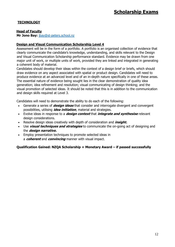# **TECHNOLOGY**

#### **Head of Faculty**

**Mr Jono Bay:** [jbay@st-peters.school.nz](mailto:jbay@st-peters.school.nz)

#### **Design and Visual Communication Scholarship Level 4**

Assessment will be in the form of a portfolio. A portfolio is an organised collection of evidence that clearly communicate the candidate's knowledge, understanding, and skills relevant to the Design and Visual Communication Scholarship performance standard. Evidence may be drawn from one major unit of work, or multiple units of work, provided they are linked and integrated in generating a coherent body of material.

Candidates should develop their ideas within the context of a design brief or briefs, which should draw evidence on any aspect associated with spatial or product design. Candidates will need to produce evidence at an advanced level and of an in-depth nature specifically in one of these areas. The essential nature of evidence being sought lies in the clear demonstration of quality idea generation; idea refinement and resolution; visual communicating of design thinking; and the visual promotion of selected ideas. It should be noted that this is in addition to the communication and design skills required at Level 3.

Candidates will need to demonstrate the ability to do each of the following:

- Generate a series of **design ideas** that consider and interrogate divergent and convergent possibilities, utilising **idea initiation**, material and strategies.
- Evolve ideas in response to a **design context** that **integrate and synthesise** relevant design considerations.
- Resolve design ideas creatively with depth of consideration and **insight.**
- Use **visual techniques and strategies** to communicate the on-going act of designing and the **design narrative.**
- Employ presentation techniques to promote selected ideas in a **coherent** and **convincing** manner with visual impact.